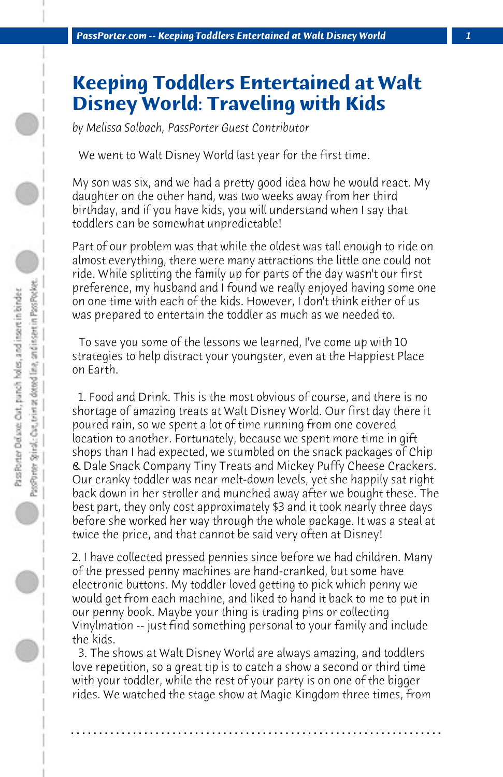## **Keeping Toddlers Entertained at Walt Disney World: Traveling with Kids**

*by Melissa Solbach, PassPorter Guest Contributor*

 We went to Walt Disney World last year for the first time.

My son was six, and we had a pretty good idea how he would react. My daughter on the other hand, was two weeks away from her third birthday, and if you have kids, you will understand when I say that toddlers can be somewhat unpredictable!

Part of our problem was that while the oldest was tall enough to ride on almost everything, there were many attractions the little one could not ride. While splitting the family up for parts of the day wasn't our first preference, my husband and I found we really enjoyed having some one on one time with each of the kids. However, I don't think either of us was prepared to entertain the toddler as much as we needed to.

 To save you some of the lessons we learned, I've come up with 10 strategies to help distract your youngster, even at the Happiest Place on Earth.

 1. Food and Drink. This is the most obvious of course, and there is no shortage of amazing treats at Walt Disney World. Our first day there it poured rain, so we spent a lot of time running from one covered location to another. Fortunately, because we spent more time in gift shops than I had expected, we stumbled on the snack packages of Chip & Dale Snack Company Tiny Treats and Mickey Puffy Cheese Crackers. Our cranky toddler was near melt-down levels, yet she happily sat right back down in her stroller and munched away after we bought these. The best part, they only cost approximately \$3 and it took nearly three days before she worked her way through the whole package. It was a steal at twice the price, and that cannot be said very often at Disney!

2. I have collected pressed pennies since before we had children. Many of the pressed penny machines are hand-cranked, but some have electronic buttons. My toddler loved getting to pick which penny we would get from each machine, and liked to hand it back to me to put in our penny book. Maybe your thing is trading pins or collecting Vinylmation -- just find something personal to your family and include the kids.

 3. The shows at Walt Disney World are always amazing, and toddlers love repetition, so a great tip is to catch a show a second or third time with your toddler, while the rest of your party is on one of the bigger rides. We watched the stage show at Magic Kingdom three times, from

**. . . . . . . . . . . . . . . . . . . . . . . . . . . . . . . . . . . . . . . . . . . . . . . . . . . . . . . . . . . . . . . . . .**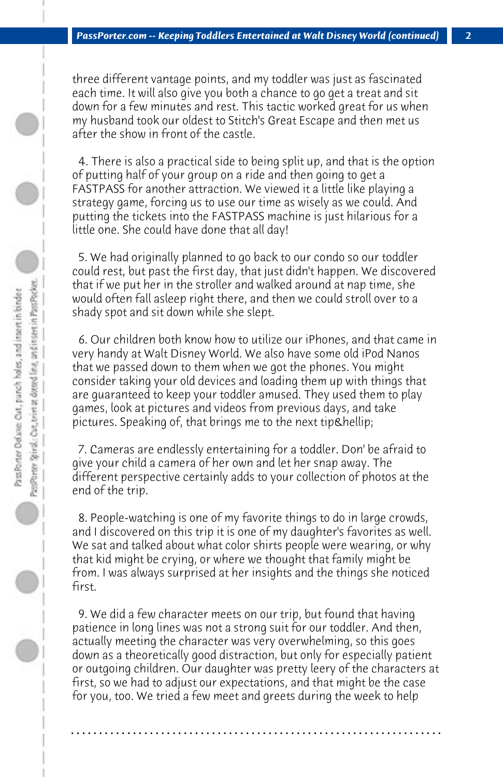three different vantage points, and my toddler was just as fascinated each time. It will also give you both a chance to go get a treat and sit down for a few minutes and rest. This tactic worked great for us when my husband took our oldest to Stitch's Great Escape and then met us after the show in front of the castle.

 4. There is also a practical side to being split up, and that is the option of putting half of your group on a ride and then going to get a FASTPASS for another attraction. We viewed it a little like playing a strategy game, forcing us to use our time as wisely as we could. And putting the tickets into the FASTPASS machine is just hilarious for a little one. She could have done that all day!

 5. We had originally planned to go back to our condo so our toddler could rest, but past the first day, that just didn't happen. We discovered that if we put her in the stroller and walked around at nap time, she would often fall asleep right there, and then we could stroll over to a shady spot and sit down while she slept.

 6. Our children both know how to utilize our iPhones, and that came in very handy at Walt Disney World. We also have some old iPod Nanos that we passed down to them when we got the phones. You might consider taking your old devices and loading them up with things that are guaranteed to keep your toddler amused. They used them to play games, look at pictures and videos from previous days, and take pictures. Speaking of, that brings me to the next tip…

 7. Cameras are endlessly entertaining for a toddler. Don' be afraid to give your child a camera of her own and let her snap away. The different perspective certainly adds to your collection of photos at the end of the trip.

 8. People-watching is one of my favorite things to do in large crowds, and I discovered on this trip it is one of my daughter's favorites as well. We sat and talked about what color shirts people were wearing, or why that kid might be crying, or where we thought that family might be from. I was always surprised at her insights and the things she noticed first.

 9. We did a few character meets on our trip, but found that having patience in long lines was not a strong suit for our toddler. And then, actually meeting the character was very overwhelming, so this goes down as a theoretically good distraction, but only for especially patient or outgoing children. Our daughter was pretty leery of the characters at first, so we had to adjust our expectations, and that might be the case for you, too. We tried a few meet and greets during the week to help

**. . . . . . . . . . . . . . . . . . . . . . . . . . . . . . . . . . . . . . . . . . . . . . . . . . . . . . . . . . . . . . . . . .**